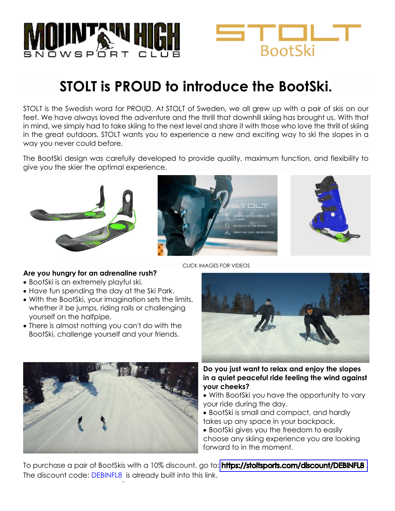



## **STOLT is PROUD to introduce the BootSki.**

STOLT is the Swedish word for PROUD. At STOLT of Sweden, we all grew up with a pair of skis on our feet. We have always loved the adventure and the thrill that downhill skiing has brought us. With that in mind, we simply had to take skiing to the next level and share it with those who love the thrill of skiing in the great outdoors. STOLT wants you to experience a new and exciting way to ski the slopes in a way you never could before.

The BootSki design was carefully developed to provide quality, maximum function, and flexibility to give you the skier the optimal experience.







CLICK IMAGES FOR VIDEOS

## **Are you hungry for an adrenaline rush?**

- BootSki is an extremely playful ski.
- Have fun spending the day at the Ski Park.
- With the BootSki, your imagination sets the limits, whether it be jumps, riding rails or challenging yourself on the halfpipe.
- There is almost nothing you can't do with the BootSki, challenge yourself and your friends.





**Do you just want to relax and enjoy the slopes in a quiet peaceful ride feeling the wind against your cheeks?**

- With BootSki you have the opportunity to vary your ride during the day.
- BootSki is small and compact, and hardly takes up any space in your backpack.
- BootSki gives you the freedom to easily choose any skiing experience you are looking forward to in the moment.

To purchase a pair of BootSkis with a 10% discount, go to: https://stoltsports.com/discount/DEBINFL8. The discount code: <mark>DEBINFL8</mark> is already built into this link.